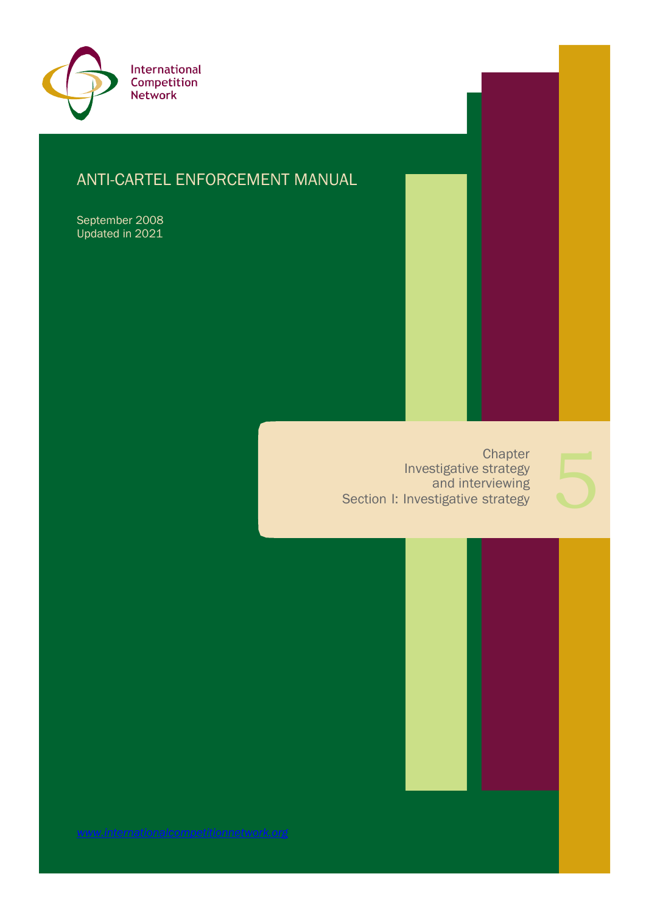

# ANTI-CARTEL ENFORCEMENT MANUAL

September 2008 Updated in 2021

> **Chapter** Investigative strategy and interviewing Section I: Investigative strategy

*[www.internationalcompetitionnetwork.org](http://www.internationalcompetitionnetwork.org/)*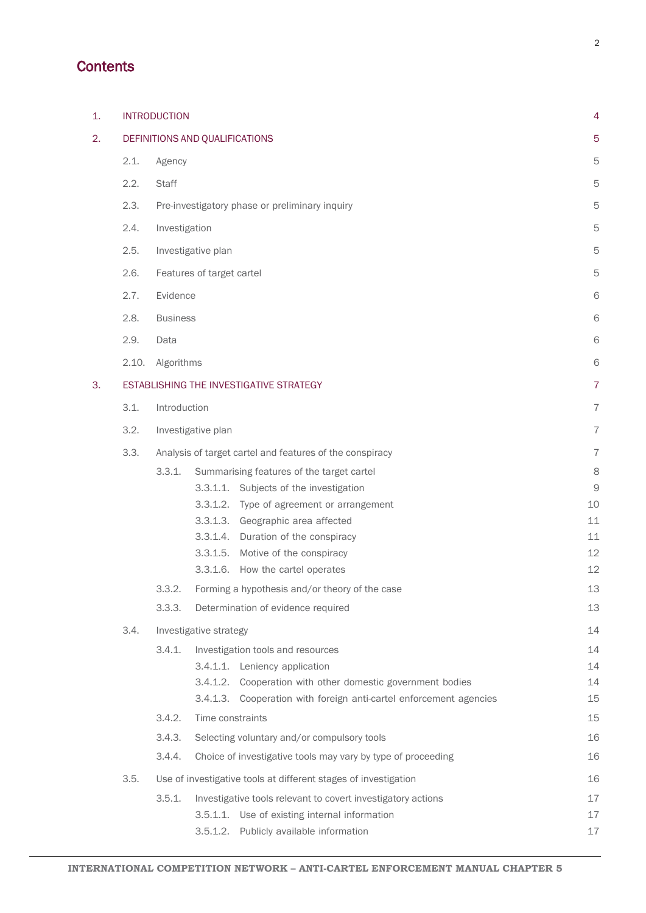## **Contents**

| 1. |                                | <b>INTRODUCTION</b>                                                    |                                                              |                                                                    |    |  |  |
|----|--------------------------------|------------------------------------------------------------------------|--------------------------------------------------------------|--------------------------------------------------------------------|----|--|--|
| 2. | DEFINITIONS AND QUALIFICATIONS |                                                                        |                                                              |                                                                    |    |  |  |
|    | 2.1.                           | Agency                                                                 |                                                              |                                                                    |    |  |  |
|    | 2.2.                           | <b>Staff</b>                                                           |                                                              |                                                                    |    |  |  |
|    | 2.3.                           | Pre-investigatory phase or preliminary inquiry                         |                                                              |                                                                    |    |  |  |
|    | 2.4.                           | Investigation                                                          |                                                              |                                                                    |    |  |  |
|    | 2.5.                           | Investigative plan                                                     |                                                              |                                                                    |    |  |  |
|    | 2.6.                           | Features of target cartel                                              |                                                              |                                                                    |    |  |  |
|    | 2.7.                           | Evidence                                                               |                                                              |                                                                    |    |  |  |
|    | 2.8.                           | <b>Business</b>                                                        |                                                              |                                                                    |    |  |  |
|    | 2.9.                           | Data                                                                   |                                                              |                                                                    |    |  |  |
|    | 2.10.                          | Algorithms                                                             |                                                              |                                                                    |    |  |  |
| 3. |                                | ESTABLISHING THE INVESTIGATIVE STRATEGY                                |                                                              |                                                                    |    |  |  |
|    | 3.1.                           | Introduction                                                           |                                                              |                                                                    |    |  |  |
|    | 3.2.                           | Investigative plan                                                     |                                                              |                                                                    |    |  |  |
|    | 3.3.                           |                                                                        | Analysis of target cartel and features of the conspiracy     |                                                                    |    |  |  |
|    |                                | 3.3.1.                                                                 | Summarising features of the target cartel                    |                                                                    | 8  |  |  |
|    |                                |                                                                        |                                                              | 3.3.1.1. Subjects of the investigation                             | 9  |  |  |
|    |                                |                                                                        |                                                              | 3.3.1.2. Type of agreement or arrangement                          | 10 |  |  |
|    |                                |                                                                        |                                                              | 3.3.1.3. Geographic area affected                                  | 11 |  |  |
|    |                                |                                                                        |                                                              | 3.3.1.4. Duration of the conspiracy                                | 11 |  |  |
|    |                                |                                                                        | 3.3.1.5.                                                     | Motive of the conspiracy                                           | 12 |  |  |
|    |                                |                                                                        |                                                              | 3.3.1.6. How the cartel operates                                   | 12 |  |  |
|    |                                | 3.3.2.                                                                 |                                                              | Forming a hypothesis and/or theory of the case                     | 13 |  |  |
|    |                                | 3.3.3.                                                                 |                                                              | Determination of evidence required                                 | 13 |  |  |
|    | 3.4.                           | Investigative strategy                                                 |                                                              |                                                                    |    |  |  |
|    |                                | 3.4.1.                                                                 | Investigation tools and resources                            |                                                                    | 14 |  |  |
|    |                                |                                                                        |                                                              | 3.4.1.1. Leniency application                                      | 14 |  |  |
|    |                                |                                                                        |                                                              | 3.4.1.2. Cooperation with other domestic government bodies         | 14 |  |  |
|    |                                |                                                                        |                                                              | 3.4.1.3. Cooperation with foreign anti-cartel enforcement agencies | 15 |  |  |
|    |                                | 3.4.2.                                                                 | Time constraints                                             |                                                                    |    |  |  |
|    |                                | 3.4.3.                                                                 | Selecting voluntary and/or compulsory tools                  |                                                                    |    |  |  |
|    |                                | 3.4.4.<br>Choice of investigative tools may vary by type of proceeding |                                                              |                                                                    |    |  |  |
|    | 3.5.                           | Use of investigative tools at different stages of investigation        |                                                              |                                                                    |    |  |  |
|    |                                | 3.5.1.                                                                 | Investigative tools relevant to covert investigatory actions |                                                                    | 17 |  |  |
|    |                                |                                                                        |                                                              | 3.5.1.1. Use of existing internal information                      | 17 |  |  |
|    |                                |                                                                        | 3.5.1.2.                                                     | Publicly available information                                     | 17 |  |  |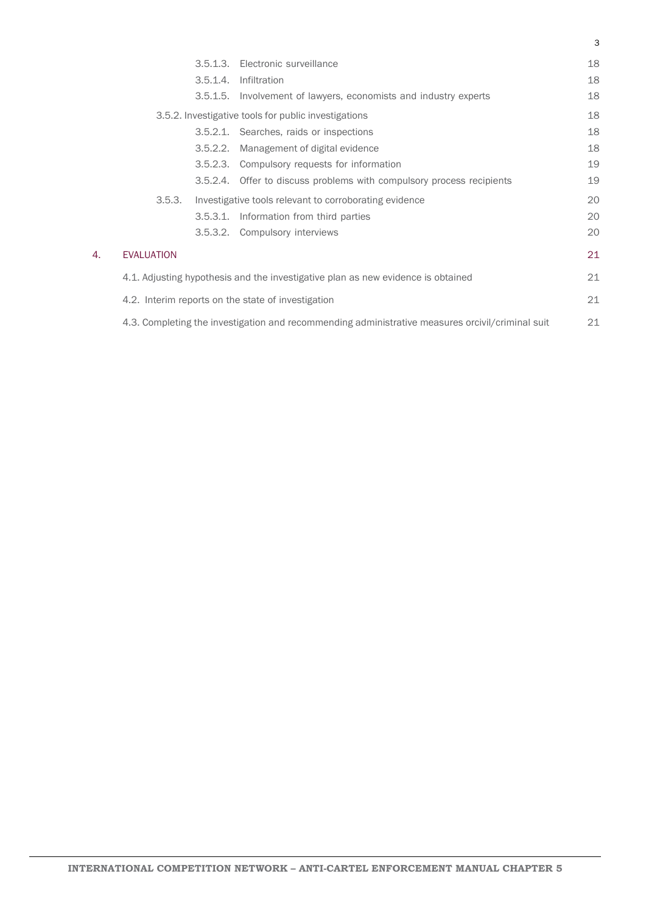|    |                                                                                                  |          | 3.5.1.3. Electronic surveillance                                      | 18 |  |  |
|----|--------------------------------------------------------------------------------------------------|----------|-----------------------------------------------------------------------|----|--|--|
|    |                                                                                                  |          | 3.5.1.4. Infiltration                                                 | 18 |  |  |
|    |                                                                                                  |          | 3.5.1.5. Involvement of lawyers, economists and industry experts      | 18 |  |  |
|    |                                                                                                  |          | 3.5.2. Investigative tools for public investigations                  | 18 |  |  |
|    |                                                                                                  |          | 3.5.2.1. Searches, raids or inspections                               | 18 |  |  |
|    |                                                                                                  | 3.5.2.2. | Management of digital evidence                                        | 18 |  |  |
|    |                                                                                                  |          | 3.5.2.3. Compulsory requests for information                          | 19 |  |  |
|    |                                                                                                  |          | 3.5.2.4. Offer to discuss problems with compulsory process recipients | 19 |  |  |
|    | 3.5.3.                                                                                           |          | Investigative tools relevant to corroborating evidence                | 20 |  |  |
|    |                                                                                                  |          | 3.5.3.1. Information from third parties                               | 20 |  |  |
|    |                                                                                                  |          | 3.5.3.2. Compulsory interviews                                        | 20 |  |  |
| 4. | <b>EVALUATION</b>                                                                                |          |                                                                       | 21 |  |  |
|    | 4.1. Adjusting hypothesis and the investigative plan as new evidence is obtained                 |          |                                                                       |    |  |  |
|    | 4.2. Interim reports on the state of investigation                                               |          |                                                                       |    |  |  |
|    | 4.3. Completing the investigation and recommending administrative measures orcivil/criminal suit |          |                                                                       |    |  |  |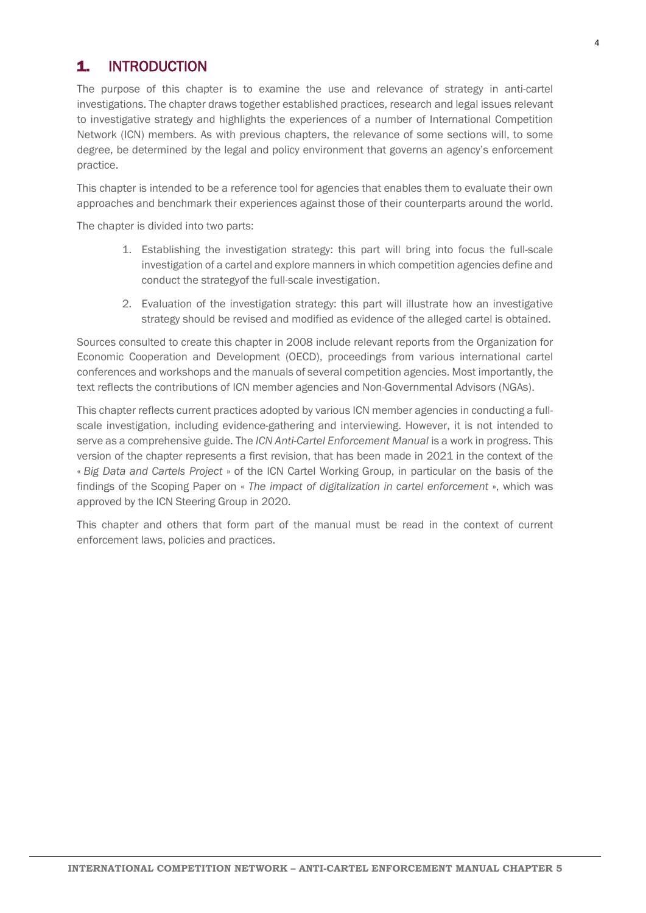## <span id="page-3-0"></span>1. INTRODUCTION

The purpose of this chapter is to examine the use and relevance of strategy in anti-cartel investigations. The chapter draws together established practices, research and legal issues relevant to investigative strategy and highlights the experiences of a number of International Competition Network (ICN) members. As with previous chapters, the relevance of some sections will, to some degree, be determined by the legal and policy environment that governs an agency's enforcement practice.

This chapter is intended to be a reference tool for agencies that enables them to evaluate their own approaches and benchmark their experiences against those of their counterparts around the world.

The chapter is divided into two parts:

- 1. Establishing the investigation strategy: this part will bring into focus the full-scale investigation of a cartel and explore manners in which competition agencies define and conduct the strategyof the full-scale investigation.
- 2. Evaluation of the investigation strategy: this part will illustrate how an investigative strategy should be revised and modified as evidence of the alleged cartel is obtained.

Sources consulted to create this chapter in 2008 include relevant reports from the Organization for Economic Cooperation and Development (OECD), proceedings from various international cartel conferences and workshops and the manuals of several competition agencies. Most importantly, the text reflects the contributions of ICN member agencies and Non-Governmental Advisors (NGAs).

This chapter reflects current practices adopted by various ICN member agencies in conducting a fullscale investigation, including evidence-gathering and interviewing. However, it is not intended to serve as a comprehensive guide. The *ICN Anti-Cartel Enforcement Manual* is a work in progress. This version of the chapter represents a first revision, that has been made in 2021 in the context of the « *Big Data and Cartels Project* » of the ICN Cartel Working Group, in particular on the basis of the findings of the Scoping Paper on « *The impact of digitalization in cartel enforcement* », which was approved by the ICN Steering Group in 2020.

This chapter and others that form part of the manual must be read in the context of current enforcement laws, policies and practices.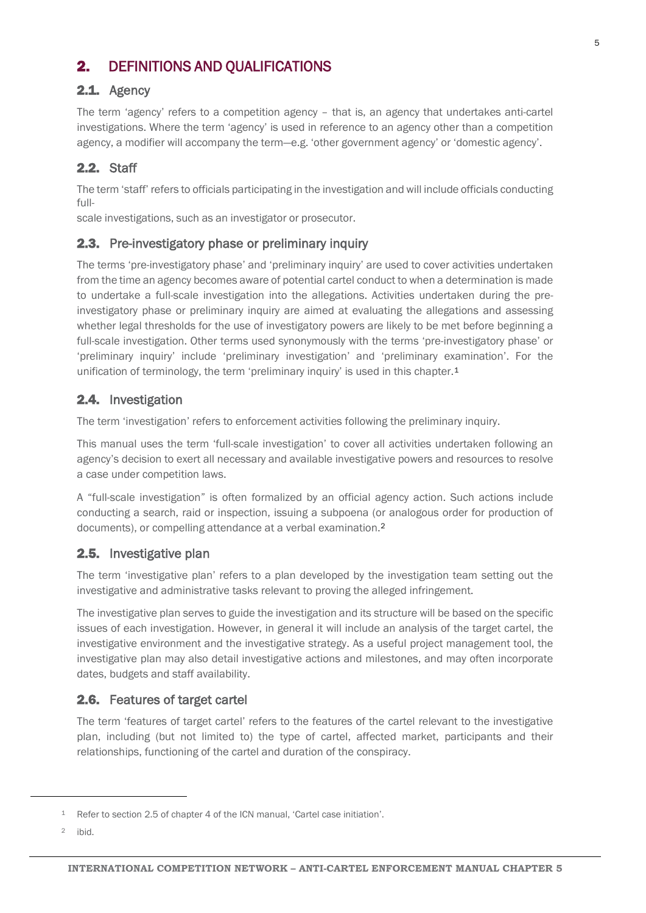## <span id="page-4-0"></span>2. DEFINITIONS AND QUALIFICATIONS

## <span id="page-4-1"></span>2.1. Agency

The term 'agency' refers to a competition agency – that is, an agency that undertakes anti-cartel investigations. Where the term 'agency' is used in reference to an agency other than a competition agency, a modifier will accompany the term—e.g. 'other government agency' or 'domestic agency'.

## <span id="page-4-2"></span>2.2. Staff

The term 'staff' refers to officials participating in the investigation and will include officials conducting full-

scale investigations, such as an investigator or prosecutor.

### <span id="page-4-3"></span>2.3. Pre-investigatory phase or preliminary inquiry

The terms 'pre-investigatory phase' and 'preliminary inquiry' are used to cover activities undertaken from the time an agency becomes aware of potential cartel conduct to when a determination is made to undertake a full-scale investigation into the allegations. Activities undertaken during the preinvestigatory phase or preliminary inquiry are aimed at evaluating the allegations and assessing whether legal thresholds for the use of investigatory powers are likely to be met before beginning a full-scale investigation. Other terms used synonymously with the terms 'pre-investigatory phase' or 'preliminary inquiry' include 'preliminary investigation' and 'preliminary examination'. For the unification of terminology, the term 'preliminary inquiry' is used in this chapter.<sup>[1](#page-4-7)</sup>

## <span id="page-4-4"></span>2.4. Investigation

The term 'investigation' refers to enforcement activities following the preliminary inquiry.

This manual uses the term 'full-scale investigation' to cover all activities undertaken following an agency's decision to exert all necessary and available investigative powers and resources to resolve a case under competition laws.

A "full-scale investigation" is often formalized by an official agency action. Such actions include conducting a search, raid or inspection, issuing a subpoena (or analogous order for production of documents), or compelling attendance at a verbal examination.[2](#page-4-8)

### <span id="page-4-5"></span>2.5. Investigative plan

The term 'investigative plan' refers to a plan developed by the investigation team setting out the investigative and administrative tasks relevant to proving the alleged infringement.

The investigative plan serves to guide the investigation and its structure will be based on the specific issues of each investigation. However, in general it will include an analysis of the target cartel, the investigative environment and the investigative strategy. As a useful project management tool, the investigative plan may also detail investigative actions and milestones, and may often incorporate dates, budgets and staff availability.

### <span id="page-4-6"></span>2.6. Features of target cartel

The term 'features of target cartel' refers to the features of the cartel relevant to the investigative plan, including (but not limited to) the type of cartel, affected market, participants and their relationships, functioning of the cartel and duration of the conspiracy.

<span id="page-4-7"></span><sup>1</sup> Refer to section 2.5 of chapter 4 of the ICN manual, 'Cartel case initiation'.

<span id="page-4-8"></span><sup>2</sup> ibid.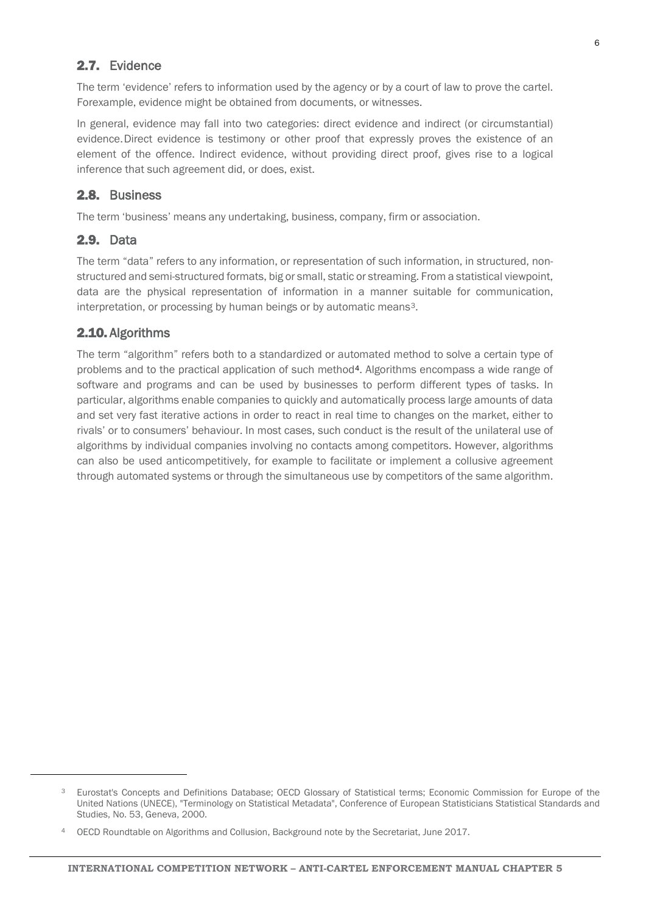## <span id="page-5-0"></span>2.7. Evidence

The term 'evidence' refers to information used by the agency or by a court of law to prove the cartel. Forexample, evidence might be obtained from documents, or witnesses.

In general, evidence may fall into two categories: direct evidence and indirect (or circumstantial) evidence.Direct evidence is testimony or other proof that expressly proves the existence of an element of the offence. Indirect evidence, without providing direct proof, gives rise to a logical inference that such agreement did, or does, exist.

#### <span id="page-5-1"></span>2.8. Business

The term 'business' means any undertaking, business, company, firm or association.

### <span id="page-5-2"></span>2.9. Data

The term "data" refers to any information, or representation of such information, in structured, nonstructured and semi-structured formats, big or small, static or streaming. From a statistical viewpoint, data are the physical representation of information in a manner suitable for communication, interpretation, or processing by human beings or by automatic means<sup>3</sup>.

#### <span id="page-5-3"></span>2.10. Algorithms

<span id="page-5-4"></span> $\overline{a}$ 

The term "algorithm" refers both to a standardized or automated method to solve a certain type of problems and to the practical application of such method<sup>4</sup>. Algorithms encompass a wide range of software and programs and can be used by businesses to perform different types of tasks. In particular, algorithms enable companies to quickly and automatically process large amounts of data and set very fast iterative actions in order to react in real time to changes on the market, either to rivals' or to consumers' behaviour. In most cases, such conduct is the result of the unilateral use of algorithms by individual companies involving no contacts among competitors. However, algorithms can also be used anticompetitively, for example to facilitate or implement a collusive agreement through automated systems or through the simultaneous use by competitors of the same algorithm.

<sup>3</sup> Eurostat's Concepts and Definitions Database; OECD Glossary of Statistical terms; Economic Commission for Europe of the United Nations (UNECE), "Terminology on Statistical Metadata", Conference of European Statisticians Statistical Standards and Studies, No. 53, Geneva, 2000.

<span id="page-5-5"></span><sup>4</sup> OECD Roundtable on Algorithms and Collusion, Background note by the Secretariat, June 2017.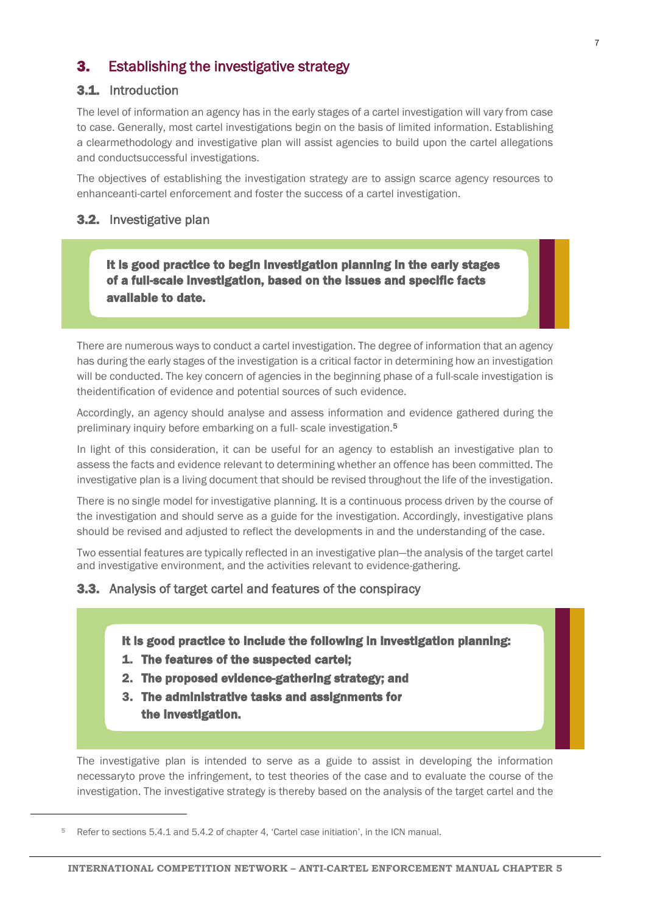## <span id="page-6-0"></span>**3.** Establishing the investigative strategy

## <span id="page-6-1"></span>3.1. Introduction

The level of information an agency has in the early stages of a cartel investigation will vary from case to case. Generally, most cartel investigations begin on the basis of limited information. Establishing a clearmethodology and investigative plan will assist agencies to build upon the cartel allegations and conductsuccessful investigations.

The objectives of establishing the investigation strategy are to assign scarce agency resources to enhanceanti-cartel enforcement and foster the success of a cartel investigation.

#### <span id="page-6-2"></span>3.2. Investigative plan

 It is good practice to begin investigation planning in the early stages of a full-scale investigation, based on the issues and specific facts available to date.

There are numerous ways to conduct a cartel investigation. The degree of information that an agency has during the early stages of the investigation is a critical factor in determining how an investigation will be conducted. The key concern of agencies in the beginning phase of a full-scale investigation is theidentification of evidence and potential sources of such evidence.

Accordingly, an agency should analyse and assess information and evidence gathered during the preliminary inquiry before embarking on a full- scale investigation[.5](#page-6-4)

In light of this consideration, it can be useful for an agency to establish an investigative plan to assess the facts and evidence relevant to determining whether an offence has been committed. The investigative plan is a living document that should be revised throughout the life of the investigation.

There is no single model for investigative planning. It is a continuous process driven by the course of the investigation and should serve as a guide for the investigation. Accordingly, investigative plans should be revised and adjusted to reflect the developments in and the understanding of the case.

Two essential features are typically reflected in an investigative plan—the analysis of the target cartel and investigative environment, and the activities relevant to evidence-gathering.

## <span id="page-6-3"></span>**3.3.** Analysis of target cartel and features of the conspiracy

#### It is good practice to include the following in investigation planning:

- 1. The features of the suspected cartel;
- 2. The proposed evidence-gathering strategy; and
- 3. The administrative tasks and assignments for the investigation.

The investigative plan is intended to serve as a guide to assist in developing the information necessaryto prove the infringement, to test theories of the case and to evaluate the course of the investigation. The investigative strategy is thereby based on the analysis of the target cartel and the

<span id="page-6-4"></span><sup>5</sup> Refer to sections 5.4.1 and 5.4.2 of chapter 4, 'Cartel case initiation', in the ICN manual.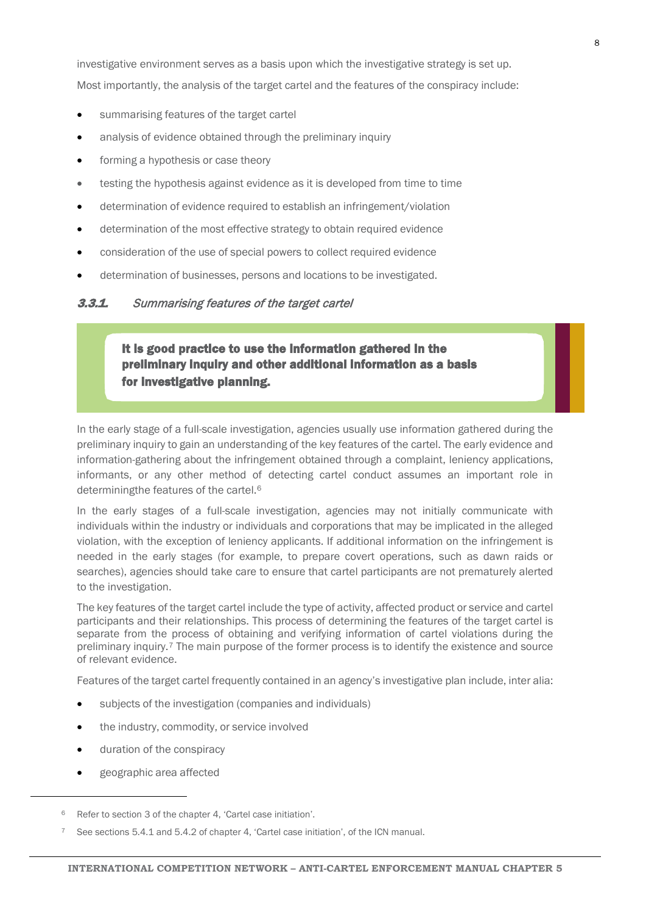investigative environment serves as a basis upon which the investigative strategy is set up. Most importantly, the analysis of the target cartel and the features of the conspiracy include:

- summarising features of the target cartel
- analysis of evidence obtained through the preliminary inquiry
- forming a hypothesis or case theory
- testing the hypothesis against evidence as it is developed from time to time
- determination of evidence required to establish an infringement/violation
- determination of the most effective strategy to obtain required evidence
- consideration of the use of special powers to collect required evidence
- determination of businesses, persons and locations to be investigated.

#### <span id="page-7-0"></span>**3.3.1.** Summarising features of the target cartel

It is good practice to use the information gathered in the preliminary inquiry and other additional information as a basis for investigative planning.

In the early stage of a full-scale investigation, agencies usually use information gathered during the preliminary inquiry to gain an understanding of the key features of the cartel. The early evidence and information-gathering about the infringement obtained through a complaint, leniency applications, informants, or any other method of detecting cartel conduct assumes an important role in determiningthe features of the cartel.[6](#page-7-1)

In the early stages of a full-scale investigation, agencies may not initially communicate with individuals within the industry or individuals and corporations that may be implicated in the alleged violation, with the exception of leniency applicants. If additional information on the infringement is needed in the early stages (for example, to prepare covert operations, such as dawn raids or searches), agencies should take care to ensure that cartel participants are not prematurely alerted to the investigation.

The key features of the target cartel include the type of activity, affected product or service and cartel participants and their relationships. This process of determining the features of the target cartel is separate from the process of obtaining and verifying information of cartel violations during the preliminary inquiry.<sup>[7](#page-7-2)</sup> The main purpose of the former process is to identify the existence and source of relevant evidence.

Features of the target cartel frequently contained in an agency's investigative plan include, inter alia:

- subjects of the investigation (companies and individuals)
- the industry, commodity, or service involved
- duration of the conspiracy
- geographic area affected

<span id="page-7-1"></span><sup>6</sup> Refer to section 3 of the chapter 4, 'Cartel case initiation'.

<span id="page-7-2"></span><sup>7</sup> See sections 5.4.1 and 5.4.2 of chapter 4, 'Cartel case initiation', of the ICN manual.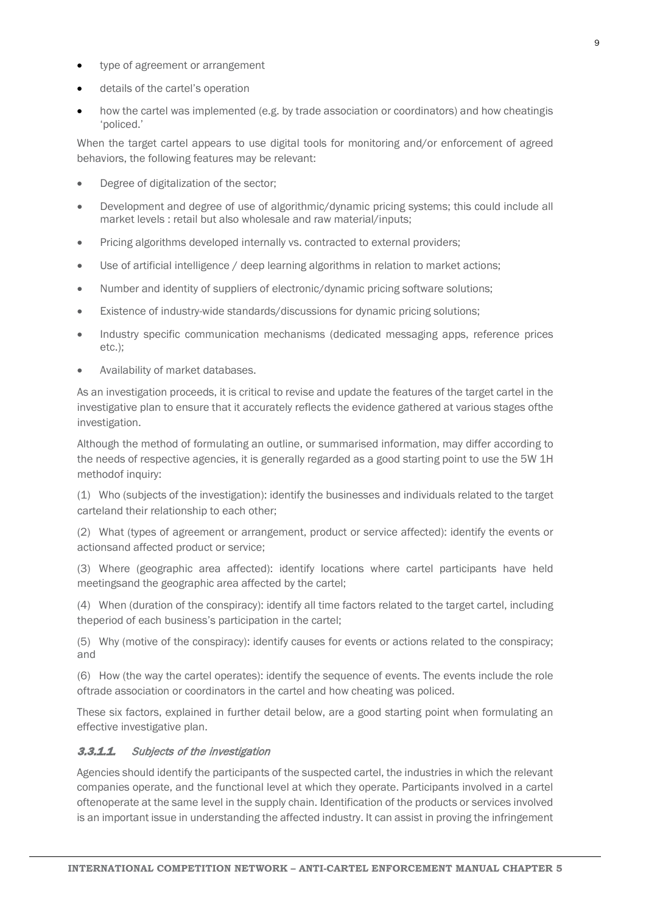- type of agreement or arrangement
- details of the cartel's operation
- how the cartel was implemented (e.g. by trade association or coordinators) and how cheatingis 'policed.'

When the target cartel appears to use digital tools for monitoring and/or enforcement of agreed behaviors, the following features may be relevant:

- Degree of digitalization of the sector;
- Development and degree of use of algorithmic/dynamic pricing systems; this could include all market levels : retail but also wholesale and raw material/inputs;
- Pricing algorithms developed internally vs. contracted to external providers;
- Use of artificial intelligence / deep learning algorithms in relation to market actions;
- Number and identity of suppliers of electronic/dynamic pricing software solutions;
- Existence of industry-wide standards/discussions for dynamic pricing solutions;
- Industry specific communication mechanisms (dedicated messaging apps, reference prices etc.);
- Availability of market databases.

As an investigation proceeds, it is critical to revise and update the features of the target cartel in the investigative plan to ensure that it accurately reflects the evidence gathered at various stages ofthe investigation.

Although the method of formulating an outline, or summarised information, may differ according to the needs of respective agencies, it is generally regarded as a good starting point to use the 5W 1H methodof inquiry:

(1) Who (subjects of the investigation): identify the businesses and individuals related to the target carteland their relationship to each other;

(2) What (types of agreement or arrangement, product or service affected): identify the events or actionsand affected product or service;

(3) Where (geographic area affected): identify locations where cartel participants have held meetingsand the geographic area affected by the cartel;

(4) When (duration of the conspiracy): identify all time factors related to the target cartel, including theperiod of each business's participation in the cartel;

(5) Why (motive of the conspiracy): identify causes for events or actions related to the conspiracy; and

(6) How (the way the cartel operates): identify the sequence of events. The events include the role oftrade association or coordinators in the cartel and how cheating was policed.

These six factors, explained in further detail below, are a good starting point when formulating an effective investigative plan.

#### <span id="page-8-0"></span>3.3.1.1. Subjects of the investigation

Agencies should identify the participants of the suspected cartel, the industries in which the relevant companies operate, and the functional level at which they operate. Participants involved in a cartel oftenoperate at the same level in the supply chain. Identification of the products or services involved is an important issue in understanding the affected industry. It can assist in proving the infringement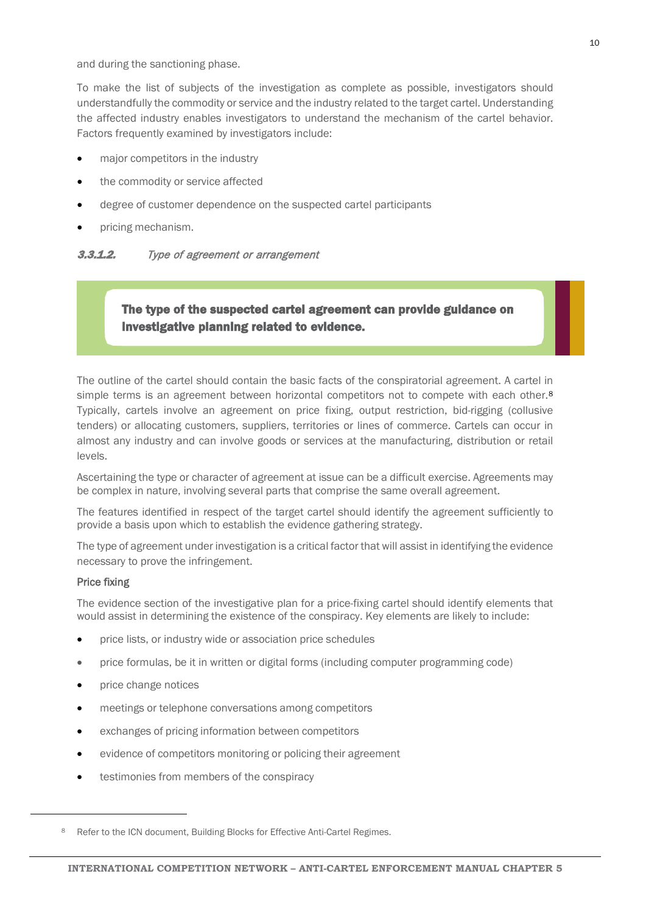and during the sanctioning phase.

To make the list of subjects of the investigation as complete as possible, investigators should understandfully the commodity or service and the industry related to the target cartel. Understanding the affected industry enables investigators to understand the mechanism of the cartel behavior. Factors frequently examined by investigators include:

- major competitors in the industry
- the commodity or service affected
- degree of customer dependence on the suspected cartel participants
- pricing mechanism.

#### <span id="page-9-0"></span>**3.3.1.2.** Type of agreement or arrangement

## The type of the suspected cartel agreement can provide guidance on investigative planning related to evidence.

The outline of the cartel should contain the basic facts of the conspiratorial agreement. A cartel in simple terms is an agreement between horizontal competitors not to compete with each other.<sup>[8](#page-9-1)</sup> Typically, cartels involve an agreement on price fixing, output restriction, bid-rigging (collusive tenders) or allocating customers, suppliers, territories or lines of commerce. Cartels can occur in almost any industry and can involve goods or services at the manufacturing, distribution or retail levels.

Ascertaining the type or character of agreement at issue can be a difficult exercise. Agreements may be complex in nature, involving several parts that comprise the same overall agreement.

The features identified in respect of the target cartel should identify the agreement sufficiently to provide a basis upon which to establish the evidence gathering strategy.

The type of agreement under investigation is a critical factor that will assist in identifying the evidence necessary to prove the infringement.

#### Price fixing

<span id="page-9-1"></span>1

The evidence section of the investigative plan for a price-fixing cartel should identify elements that would assist in determining the existence of the conspiracy. Key elements are likely to include:

- price lists, or industry wide or association price schedules
- price formulas, be it in written or digital forms (including computer programming code)
- price change notices
- meetings or telephone conversations among competitors
- exchanges of pricing information between competitors
- evidence of competitors monitoring or policing their agreement
- testimonies from members of the conspiracy

<sup>8</sup> Refer to the ICN document, Building Blocks for Effective Anti-Cartel Regimes.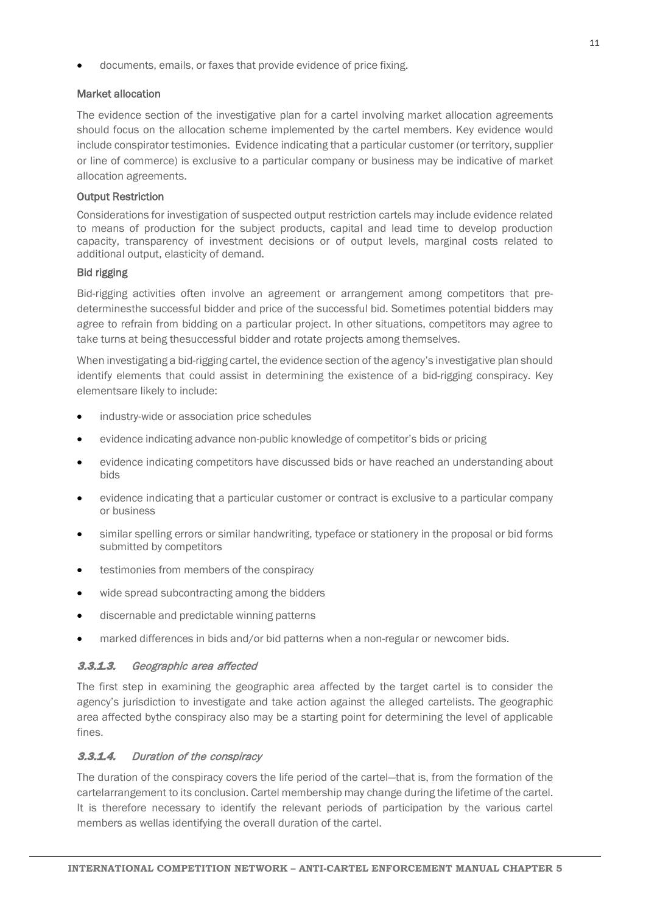documents, emails, or faxes that provide evidence of price fixing.

#### Market allocation

The evidence section of the investigative plan for a cartel involving market allocation agreements should focus on the allocation scheme implemented by the cartel members. Key evidence would include conspirator testimonies. Evidence indicating that a particular customer (or territory, supplier or line of commerce) is exclusive to a particular company or business may be indicative of market allocation agreements.

#### Output Restriction

Considerations for investigation of suspected output restriction cartels may include evidence related to means of production for the subject products, capital and lead time to develop production capacity, transparency of investment decisions or of output levels, marginal costs related to additional output, elasticity of demand.

#### Bid rigging

Bid-rigging activities often involve an agreement or arrangement among competitors that predeterminesthe successful bidder and price of the successful bid. Sometimes potential bidders may agree to refrain from bidding on a particular project. In other situations, competitors may agree to take turns at being thesuccessful bidder and rotate projects among themselves.

When investigating a bid-rigging cartel, the evidence section of the agency's investigative plan should identify elements that could assist in determining the existence of a bid-rigging conspiracy. Key elementsare likely to include:

- industry-wide or association price schedules
- evidence indicating advance non-public knowledge of competitor's bids or pricing
- evidence indicating competitors have discussed bids or have reached an understanding about bids
- evidence indicating that a particular customer or contract is exclusive to a particular company or business
- similar spelling errors or similar handwriting, typeface or stationery in the proposal or bid forms submitted by competitors
- testimonies from members of the conspiracy
- wide spread subcontracting among the bidders
- discernable and predictable winning patterns
- marked differences in bids and/or bid patterns when a non-regular or newcomer bids.

### <span id="page-10-0"></span>3.3.1.3. Geographic area affected

The first step in examining the geographic area affected by the target cartel is to consider the agency's jurisdiction to investigate and take action against the alleged cartelists. The geographic area affected bythe conspiracy also may be a starting point for determining the level of applicable fines.

### <span id="page-10-1"></span>3.3.1.4. Duration of the conspiracy

The duration of the conspiracy covers the life period of the cartel—that is, from the formation of the cartelarrangement to its conclusion. Cartel membership may change during the lifetime of the cartel. It is therefore necessary to identify the relevant periods of participation by the various cartel members as wellas identifying the overall duration of the cartel.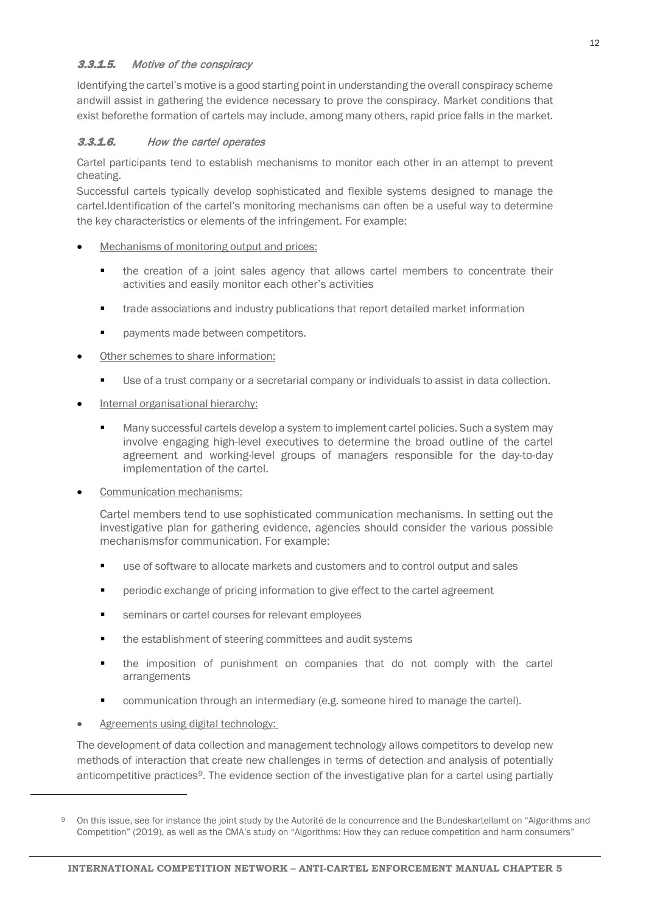## <span id="page-11-0"></span>3.3.1.5. Motive of the conspiracy

Identifying the cartel's motive is a good starting point in understanding the overall conspiracy scheme andwill assist in gathering the evidence necessary to prove the conspiracy. Market conditions that exist beforethe formation of cartels may include, among many others, rapid price falls in the market.

### <span id="page-11-1"></span>3.3.1.6. How the cartel operates

Cartel participants tend to establish mechanisms to monitor each other in an attempt to prevent cheating.

Successful cartels typically develop sophisticated and flexible systems designed to manage the cartel.Identification of the cartel's monitoring mechanisms can often be a useful way to determine the key characteristics or elements of the infringement. For example:

- Mechanisms of monitoring output and prices:
	- the creation of a joint sales agency that allows cartel members to concentrate their activities and easily monitor each other's activities
	- trade associations and industry publications that report detailed market information
	- payments made between competitors.
- Other schemes to share information:
	- Use of a trust company or a secretarial company or individuals to assist in data collection.
- Internal organisational hierarchy:
	- Many successful cartels develop a system to implement cartel policies. Such a system may involve engaging high-level executives to determine the broad outline of the cartel agreement and working-level groups of managers responsible for the day-to-day implementation of the cartel.
- Communication mechanisms:

Cartel members tend to use sophisticated communication mechanisms. In setting out the investigative plan for gathering evidence, agencies should consider the various possible mechanismsfor communication. For example:

- use of software to allocate markets and customers and to control output and sales
- periodic exchange of pricing information to give effect to the cartel agreement
- seminars or cartel courses for relevant employees
- the establishment of steering committees and audit systems
- the imposition of punishment on companies that do not comply with the cartel arrangements
- communication through an intermediary (e.g. someone hired to manage the cartel).
- Agreements using digital technology:

<span id="page-11-2"></span> $\overline{a}$ 

The development of data collection and management technology allows competitors to develop new methods of interaction that create new challenges in terms of detection and analysis of potentially anticompetitive practices<sup>9</sup>. The evidence section of the investigative plan for a cartel using partially

<sup>9</sup> On this issue, see for instance the joint study by the Autorité de la concurrence and the Bundeskartellamt on "Algorithms and Competition" (2019), as well as the CMA's study on "Algorithms: How they can reduce competition and harm consumers"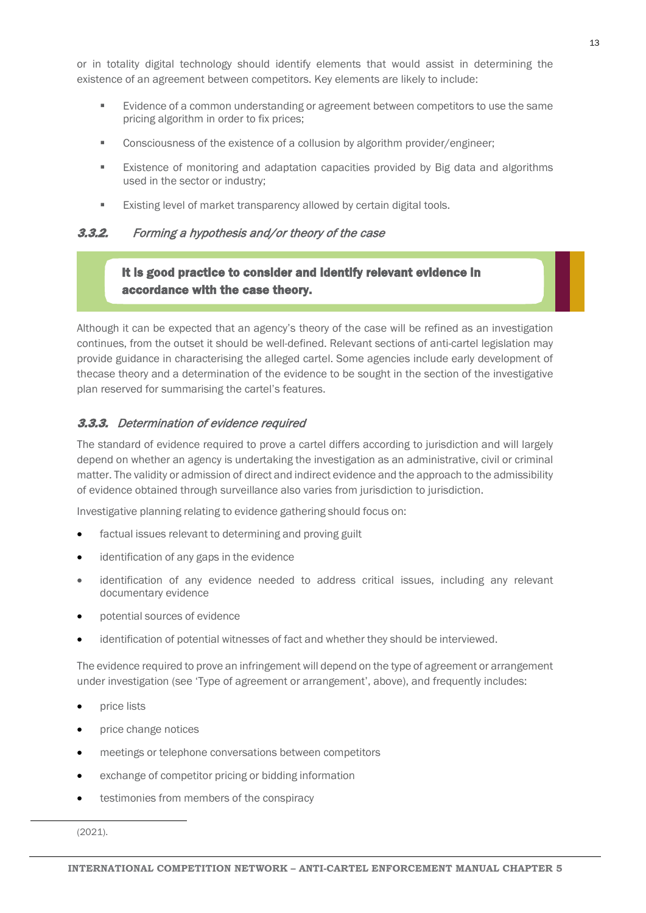or in totality digital technology should identify elements that would assist in determining the existence of an agreement between competitors. Key elements are likely to include:

- **E** Evidence of a common understanding or agreement between competitors to use the same pricing algorithm in order to fix prices;
- Consciousness of the existence of a collusion by algorithm provider/engineer;
- Existence of monitoring and adaptation capacities provided by Big data and algorithms used in the sector or industry;
- **Existing level of market transparency allowed by certain digital tools.**

### <span id="page-12-0"></span>**3.3.2.** Forming a hypothesis and/or theory of the case

## It is good practice to consider and identify relevant evidence in accordance with the case theory.

Although it can be expected that an agency's theory of the case will be refined as an investigation continues, from the outset it should be well-defined. Relevant sections of anti-cartel legislation may provide guidance in characterising the alleged cartel. Some agencies include early development of thecase theory and a determination of the evidence to be sought in the section of the investigative plan reserved for summarising the cartel's features.

#### <span id="page-12-1"></span>3.3.3. Determination of evidence required

The standard of evidence required to prove a cartel differs according to jurisdiction and will largely depend on whether an agency is undertaking the investigation as an administrative, civil or criminal matter. The validity or admission of direct and indirect evidence and the approach to the admissibility of evidence obtained through surveillance also varies from jurisdiction to jurisdiction.

Investigative planning relating to evidence gathering should focus on:

- factual issues relevant to determining and proving guilt
- identification of any gaps in the evidence
- identification of any evidence needed to address critical issues, including any relevant documentary evidence
- potential sources of evidence
- identification of potential witnesses of fact and whether they should be interviewed.

The evidence required to prove an infringement will depend on the type of agreement or arrangement under investigation (see 'Type of agreement or arrangement', above), and frequently includes:

- price lists
- price change notices
- meetings or telephone conversations between competitors
- exchange of competitor pricing or bidding information
- testimonies from members of the conspiracy

 <sup>(2021).</sup>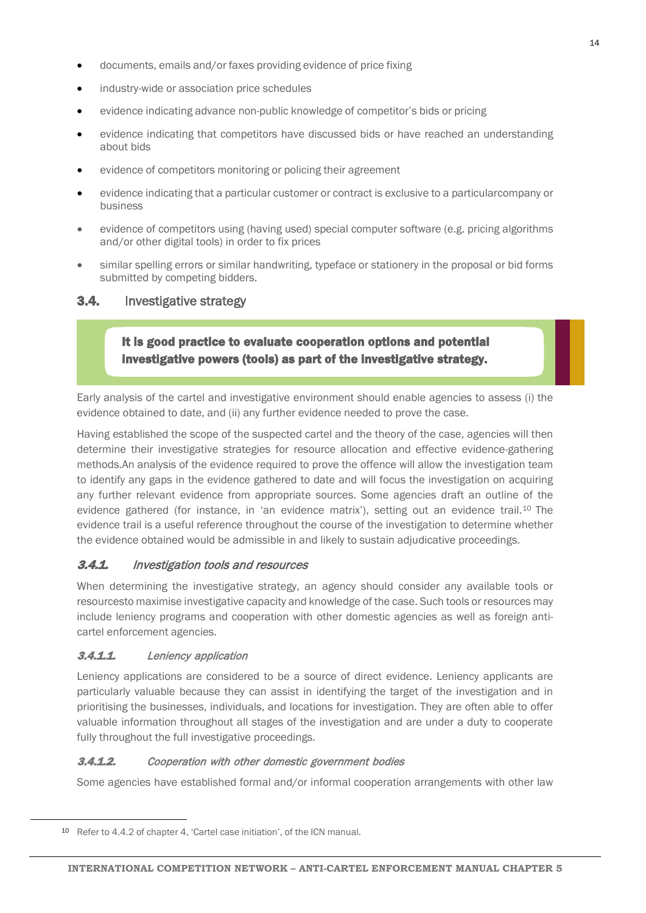- documents, emails and/or faxes providing evidence of price fixing
- industry-wide or association price schedules
- evidence indicating advance non-public knowledge of competitor's bids or pricing
- evidence indicating that competitors have discussed bids or have reached an understanding about bids
- evidence of competitors monitoring or policing their agreement
- evidence indicating that a particular customer or contract is exclusive to a particularcompany or business
- evidence of competitors using (having used) special computer software (e.g. pricing algorithms and/or other digital tools) in order to fix prices
- similar spelling errors or similar handwriting, typeface or stationery in the proposal or bid forms submitted by competing bidders.

## <span id="page-13-0"></span>3.4. Investigative strategy

## It is good practice to evaluate cooperation options and potential investigative powers (tools) as part of the investigative strategy.

Early analysis of the cartel and investigative environment should enable agencies to assess (i) the evidence obtained to date, and (ii) any further evidence needed to prove the case.

Having established the scope of the suspected cartel and the theory of the case, agencies will then determine their investigative strategies for resource allocation and effective evidence-gathering methods.An analysis of the evidence required to prove the offence will allow the investigation team to identify any gaps in the evidence gathered to date and will focus the investigation on acquiring any further relevant evidence from appropriate sources. Some agencies draft an outline of the evidence gathered (for instance, in 'an evidence matrix'), setting out an evidence trail.[10](#page-13-4) The evidence trail is a useful reference throughout the course of the investigation to determine whether the evidence obtained would be admissible in and likely to sustain adjudicative proceedings.

## <span id="page-13-1"></span>3.4.1. Investigation tools and resources

When determining the investigative strategy, an agency should consider any available tools or resourcesto maximise investigative capacity and knowledge of the case. Such tools or resources may include leniency programs and cooperation with other domestic agencies as well as foreign anticartel enforcement agencies.

### <span id="page-13-2"></span>3.4.1.1. Leniency application

Leniency applications are considered to be a source of direct evidence. Leniency applicants are particularly valuable because they can assist in identifying the target of the investigation and in prioritising the businesses, individuals, and locations for investigation. They are often able to offer valuable information throughout all stages of the investigation and are under a duty to cooperate fully throughout the full investigative proceedings.

#### <span id="page-13-3"></span>**3.4.1.2.** Cooperation with other domestic government bodies

Some agencies have established formal and/or informal cooperation arrangements with other law

<span id="page-13-4"></span> <sup>10</sup> Refer to 4.4.2 of chapter 4, 'Cartel case initiation', of the ICN manual.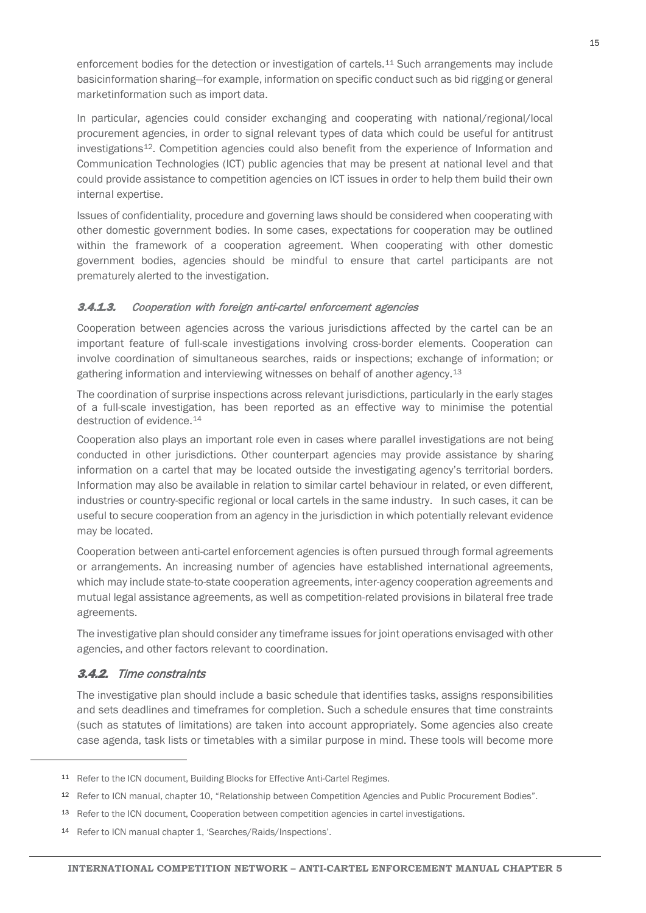enforcement bodies for the detection or investigation of cartels.<sup>[11](#page-14-2)</sup> Such arrangements may include basicinformation sharing—for example, information on specific conduct such as bid rigging or general marketinformation such as import data.

In particular, agencies could consider exchanging and cooperating with national/regional/local procurement agencies, in order to signal relevant types of data which could be useful for antitrust investigations<sup>12</sup>. Competition agencies could also benefit from the experience of Information and Communication Technologies (ICT) public agencies that may be present at national level and that could provide assistance to competition agencies on ICT issues in order to help them build their own internal expertise.

Issues of confidentiality, procedure and governing laws should be considered when cooperating with other domestic government bodies. In some cases, expectations for cooperation may be outlined within the framework of a cooperation agreement. When cooperating with other domestic government bodies, agencies should be mindful to ensure that cartel participants are not prematurely alerted to the investigation.

#### <span id="page-14-0"></span>**3.4.1.3.** Cooperation with foreign anti-cartel enforcement agencies

Cooperation between agencies across the various jurisdictions affected by the cartel can be an important feature of full-scale investigations involving cross-border elements. Cooperation can involve coordination of simultaneous searches, raids or inspections; exchange of information; or gathering information and interviewing witnesses on behalf of another agency.<sup>[13](#page-14-4)</sup>

The coordination of surprise inspections across relevant jurisdictions, particularly in the early stages of a full-scale investigation, has been reported as an effective way to minimise the potential destruction of evidence.<sup>[14](#page-14-5)</sup>

Cooperation also plays an important role even in cases where parallel investigations are not being conducted in other jurisdictions. Other counterpart agencies may provide assistance by sharing information on a cartel that may be located outside the investigating agency's territorial borders. Information may also be available in relation to similar cartel behaviour in related, or even different, industries or country-specific regional or local cartels in the same industry. In such cases, it can be useful to secure cooperation from an agency in the jurisdiction in which potentially relevant evidence may be located.

Cooperation between anti-cartel enforcement agencies is often pursued through formal agreements or arrangements. An increasing number of agencies have established international agreements, which may include state-to-state cooperation agreements, inter-agency cooperation agreements and mutual legal assistance agreements, as well as competition-related provisions in bilateral free trade agreements.

The investigative plan should consider any timeframe issues for joint operations envisaged with other agencies, and other factors relevant to coordination.

### <span id="page-14-1"></span>3.4.2. Time constraints

<span id="page-14-3"></span><span id="page-14-2"></span>1

The investigative plan should include a basic schedule that identifies tasks, assigns responsibilities and sets deadlines and timeframes for completion. Such a schedule ensures that time constraints (such as statutes of limitations) are taken into account appropriately. Some agencies also create case agenda, task lists or timetables with a similar purpose in mind. These tools will become more

<sup>11</sup> Refer to the ICN document, Building Blocks for Effective Anti-Cartel Regimes.

<sup>12</sup> Refer to ICN manual, chapter 10, "Relationship between Competition Agencies and Public Procurement Bodies".

<span id="page-14-4"></span><sup>13</sup> Refer to the ICN document, Cooperation between competition agencies in cartel investigations.

<span id="page-14-5"></span><sup>14</sup> Refer to ICN manual chapter 1, 'Searches/Raids/Inspections'.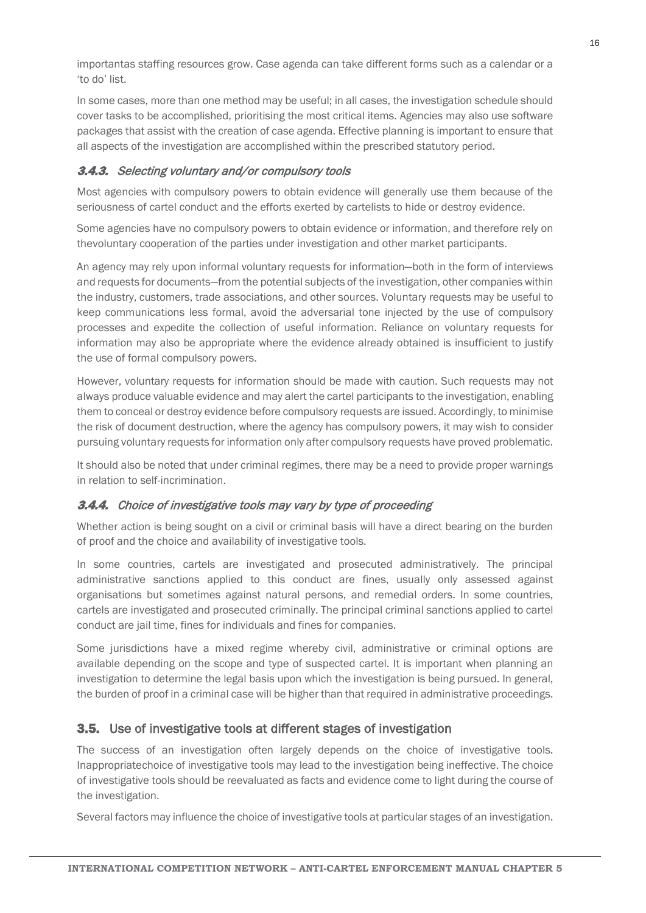importantas staffing resources grow. Case agenda can take different forms such as a calendar or a 'to do' list.

In some cases, more than one method may be useful; in all cases, the investigation schedule should cover tasks to be accomplished, prioritising the most critical items. Agencies may also use software packages that assist with the creation of case agenda. Effective planning is important to ensure that all aspects of the investigation are accomplished within the prescribed statutory period.

## <span id="page-15-0"></span>**3.4.3.** Selecting voluntary and/or compulsory tools

Most agencies with compulsory powers to obtain evidence will generally use them because of the seriousness of cartel conduct and the efforts exerted by cartelists to hide or destroy evidence.

Some agencies have no compulsory powers to obtain evidence or information, and therefore rely on thevoluntary cooperation of the parties under investigation and other market participants.

An agency may rely upon informal voluntary requests for information—both in the form of interviews and requests for documents—from the potential subjects of the investigation, other companies within the industry, customers, trade associations, and other sources. Voluntary requests may be useful to keep communications less formal, avoid the adversarial tone injected by the use of compulsory processes and expedite the collection of useful information. Reliance on voluntary requests for information may also be appropriate where the evidence already obtained is insufficient to justify the use of formal compulsory powers.

However, voluntary requests for information should be made with caution. Such requests may not always produce valuable evidence and may alert the cartel participants to the investigation, enabling them to conceal or destroy evidence before compulsory requests are issued. Accordingly, to minimise the risk of document destruction, where the agency has compulsory powers, it may wish to consider pursuing voluntary requests for information only after compulsory requests have proved problematic.

It should also be noted that under criminal regimes, there may be a need to provide proper warnings in relation to self-incrimination.

## <span id="page-15-1"></span>**3.4.4.** Choice of investigative tools may vary by type of proceeding

Whether action is being sought on a civil or criminal basis will have a direct bearing on the burden of proof and the choice and availability of investigative tools.

In some countries, cartels are investigated and prosecuted administratively. The principal administrative sanctions applied to this conduct are fines, usually only assessed against organisations but sometimes against natural persons, and remedial orders. In some countries, cartels are investigated and prosecuted criminally. The principal criminal sanctions applied to cartel conduct are jail time, fines for individuals and fines for companies.

Some jurisdictions have a mixed regime whereby civil, administrative or criminal options are available depending on the scope and type of suspected cartel. It is important when planning an investigation to determine the legal basis upon which the investigation is being pursued. In general, the burden of proof in a criminal case will be higher than that required in administrative proceedings.

## <span id="page-15-2"></span>3.5. Use of investigative tools at different stages of investigation

The success of an investigation often largely depends on the choice of investigative tools. Inappropriatechoice of investigative tools may lead to the investigation being ineffective. The choice of investigative tools should be reevaluated as facts and evidence come to light during the course of the investigation.

Several factors may influence the choice of investigative tools at particular stages of an investigation.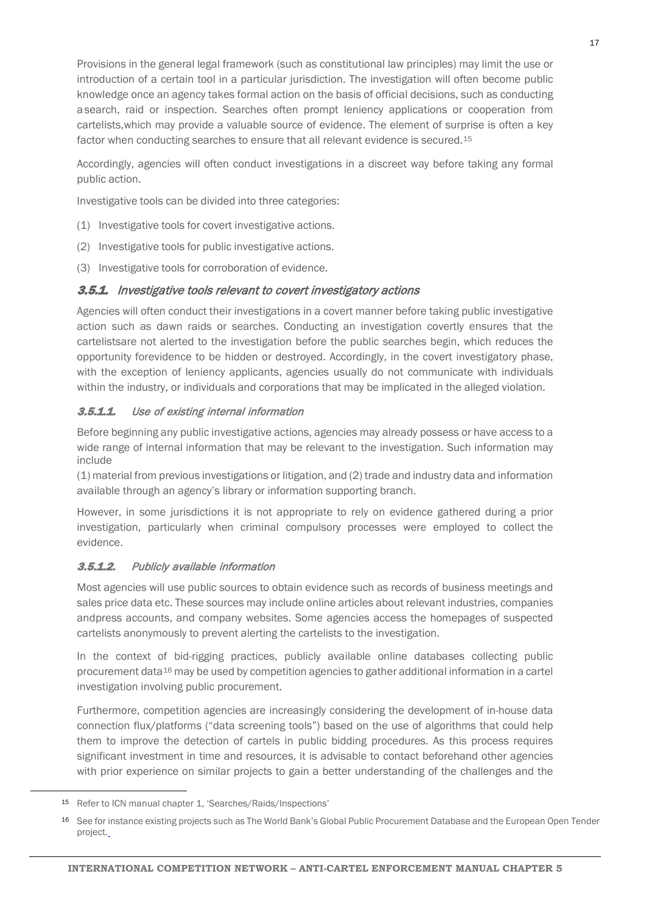Provisions in the general legal framework (such as constitutional law principles) may limit the use or introduction of a certain tool in a particular jurisdiction. The investigation will often become public knowledge once an agency takes formal action on the basis of official decisions, such as conducting asearch, raid or inspection. Searches often prompt leniency applications or cooperation from cartelists,which may provide a valuable source of evidence. The element of surprise is often a key factor when conducting searches to ensure that all relevant evidence is secured.[15](#page-16-3)

Accordingly, agencies will often conduct investigations in a discreet way before taking any formal public action.

Investigative tools can be divided into three categories:

- (1) Investigative tools for covert investigative actions.
- (2) Investigative tools for public investigative actions.
- (3) Investigative tools for corroboration of evidence.

#### <span id="page-16-0"></span>3.5.1. Investigative tools relevant to covert investigatory actions

Agencies will often conduct their investigations in a covert manner before taking public investigative action such as dawn raids or searches. Conducting an investigation covertly ensures that the cartelistsare not alerted to the investigation before the public searches begin, which reduces the opportunity forevidence to be hidden or destroyed. Accordingly, in the covert investigatory phase, with the exception of leniency applicants, agencies usually do not communicate with individuals within the industry, or individuals and corporations that may be implicated in the alleged violation.

### <span id="page-16-1"></span>**3.5.1.1.** Use of existing internal information

Before beginning any public investigative actions, agencies may already possess or have access to a wide range of internal information that may be relevant to the investigation. Such information may include

(1) material from previous investigations or litigation, and (2) trade and industry data and information available through an agency's library or information supporting branch.

However, in some jurisdictions it is not appropriate to rely on evidence gathered during a prior investigation, particularly when criminal compulsory processes were employed to collect the evidence.

### <span id="page-16-2"></span>3.5.1.2. Publicly available information

Most agencies will use public sources to obtain evidence such as records of business meetings and sales price data etc. These sources may include online articles about relevant industries, companies andpress accounts, and company websites. Some agencies access the homepages of suspected cartelists anonymously to prevent alerting the cartelists to the investigation.

In the context of bid-rigging practices, publicly available online databases collecting public procurement data<sup>16</sup> may be used by competition agencies to gather additional information in a cartel investigation involving public procurement.

Furthermore, competition agencies are increasingly considering the development of in-house data connection flux/platforms ("data screening tools") based on the use of algorithms that could help them to improve the detection of cartels in public bidding procedures. As this process requires significant investment in time and resources, it is advisable to contact beforehand other agencies with prior experience on similar projects to gain a better understanding of the challenges and the

<span id="page-16-3"></span> <sup>15</sup> Refer to ICN manual chapter 1, 'Searches/Raids/Inspections'

<span id="page-16-4"></span><sup>16</sup> See for instance existing projects such as The World Bank's Global Public Procurement Database and the European Open Tender project.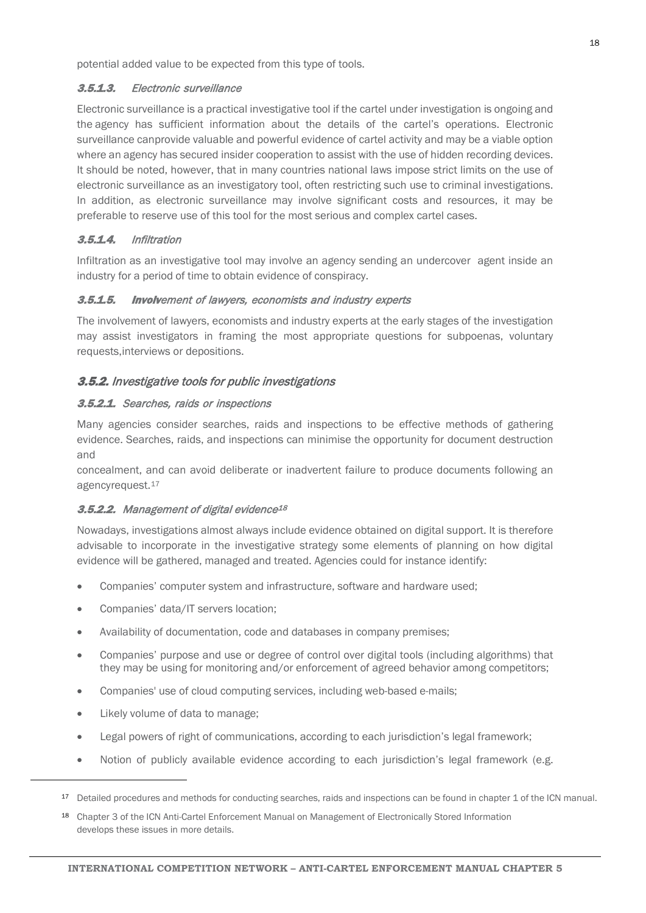potential added value to be expected from this type of tools.

#### <span id="page-17-0"></span>3.5.1.3. Electronic surveillance

Electronic surveillance is a practical investigative tool if the cartel under investigation is ongoing and the agency has sufficient information about the details of the cartel's operations. Electronic surveillance canprovide valuable and powerful evidence of cartel activity and may be a viable option where an agency has secured insider cooperation to assist with the use of hidden recording devices. It should be noted, however, that in many countries national laws impose strict limits on the use of electronic surveillance as an investigatory tool, often restricting such use to criminal investigations. In addition, as electronic surveillance may involve significant costs and resources, it may be preferable to reserve use of this tool for the most serious and complex cartel cases.

### <span id="page-17-1"></span>3.5.1.4. Infiltration

Infiltration as an investigative tool may involve an agency sending an undercover agent inside an industry for a period of time to obtain evidence of conspiracy.

#### <span id="page-17-2"></span>3.5.1.5. Involvement of lawyers, economists and industry experts

The involvement of lawyers, economists and industry experts at the early stages of the investigation may assist investigators in framing the most appropriate questions for subpoenas, voluntary requests,interviews or depositions.

#### <span id="page-17-3"></span>**3.5.2.** Investigative tools for public investigations

#### <span id="page-17-4"></span>3.5.2.1. Searches, raids or inspections

Many agencies consider searches, raids and inspections to be effective methods of gathering evidence. Searches, raids, and inspections can minimise the opportunity for document destruction and

concealment, and can avoid deliberate or inadvertent failure to produce documents following an agencyrequest.<sup>[17](#page-17-6)</sup>

### <span id="page-17-5"></span>3.5.2.2. Management of digital evidence<sup>[18](#page-17-7)</sup>

Nowadays, investigations almost always include evidence obtained on digital support. It is therefore advisable to incorporate in the investigative strategy some elements of planning on how digital evidence will be gathered, managed and treated. Agencies could for instance identify:

- Companies' computer system and infrastructure, software and hardware used;
- Companies' data/IT servers location;
- Availability of documentation, code and databases in company premises;
- Companies' purpose and use or degree of control over digital tools (including algorithms) that they may be using for monitoring and/or enforcement of agreed behavior among competitors;
- Companies' use of cloud computing services, including web-based e-mails;
- Likely volume of data to manage;

- Legal powers of right of communications, according to each jurisdiction's legal framework;
- Notion of publicly available evidence according to each jurisdiction's legal framework (e.g.

<span id="page-17-6"></span><sup>17</sup> Detailed procedures and methods for conducting searches, raids and inspections can be found in chapter 1 of the ICN manual.

<span id="page-17-7"></span><sup>18</sup> Chapter 3 of the ICN Anti-Cartel Enforcement Manual on Management of Electronically Stored Information develops these issues in more details.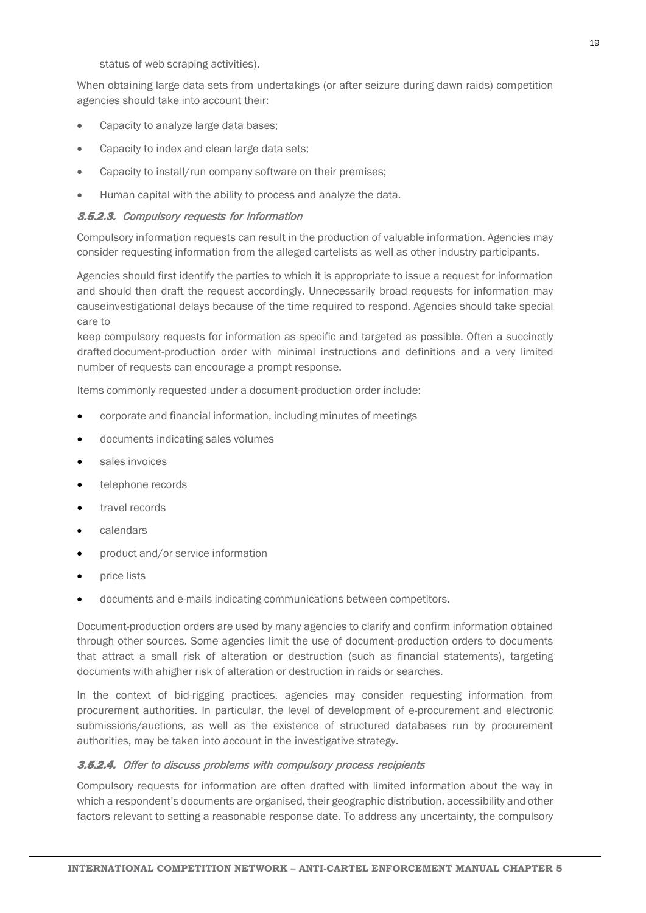status of web scraping activities).

When obtaining large data sets from undertakings (or after seizure during dawn raids) competition agencies should take into account their:

- Capacity to analyze large data bases;
- Capacity to index and clean large data sets;
- Capacity to install/run company software on their premises;
- Human capital with the ability to process and analyze the data.

#### <span id="page-18-0"></span>3.5.2.3. Compulsory requests for information

Compulsory information requests can result in the production of valuable information. Agencies may consider requesting information from the alleged cartelists as well as other industry participants.

Agencies should first identify the parties to which it is appropriate to issue a request for information and should then draft the request accordingly. Unnecessarily broad requests for information may causeinvestigational delays because of the time required to respond. Agencies should take special care to

keep compulsory requests for information as specific and targeted as possible. Often a succinctly drafteddocument-production order with minimal instructions and definitions and a very limited number of requests can encourage a prompt response.

Items commonly requested under a document-production order include:

- corporate and financial information, including minutes of meetings
- documents indicating sales volumes
- sales invoices
- telephone records
- travel records
- calendars
- product and/or service information
- price lists
- documents and e-mails indicating communications between competitors.

Document-production orders are used by many agencies to clarify and confirm information obtained through other sources. Some agencies limit the use of document-production orders to documents that attract a small risk of alteration or destruction (such as financial statements), targeting documents with ahigher risk of alteration or destruction in raids or searches.

In the context of bid-rigging practices, agencies may consider requesting information from procurement authorities. In particular, the level of development of e-procurement and electronic submissions/auctions, as well as the existence of structured databases run by procurement authorities, may be taken into account in the investigative strategy.

#### <span id="page-18-1"></span>3.5.2.4. Offer to discuss problems with compulsory process recipients

Compulsory requests for information are often drafted with limited information about the way in which a respondent's documents are organised, their geographic distribution, accessibility and other factors relevant to setting a reasonable response date. To address any uncertainty, the compulsory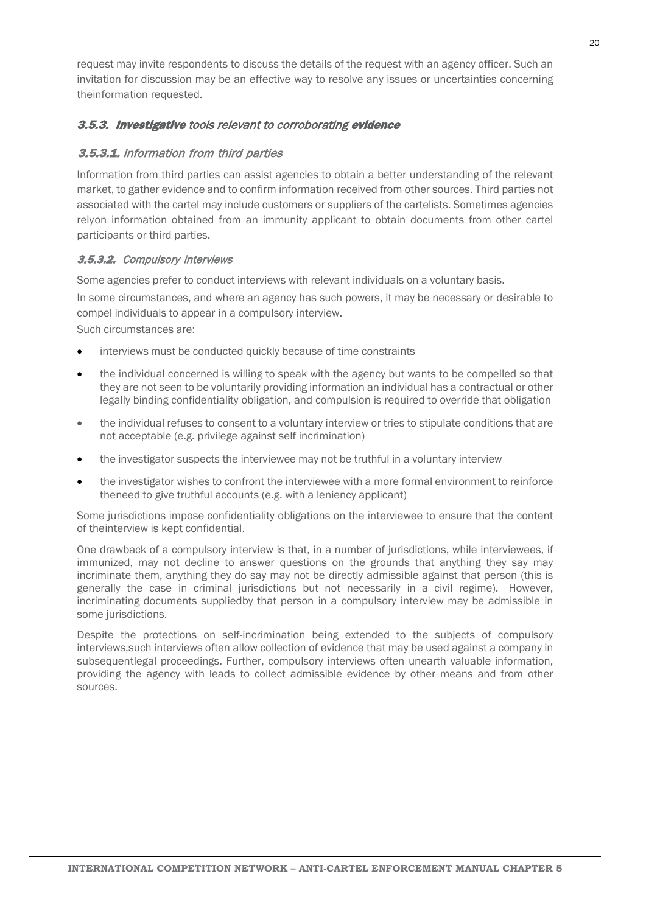request may invite respondents to discuss the details of the request with an agency officer. Such an invitation for discussion may be an effective way to resolve any issues or uncertainties concerning theinformation requested.

## <span id="page-19-0"></span>3.5.3. Investigative tools relevant to corroborating evidence

## <span id="page-19-1"></span>3.5.3.1. Information from third parties

Information from third parties can assist agencies to obtain a better understanding of the relevant market, to gather evidence and to confirm information received from other sources. Third parties not associated with the cartel may include customers or suppliers of the cartelists. Sometimes agencies relyon information obtained from an immunity applicant to obtain documents from other cartel participants or third parties.

### <span id="page-19-2"></span>3.5.3.2. Compulsory interviews

Some agencies prefer to conduct interviews with relevant individuals on a voluntary basis.

In some circumstances, and where an agency has such powers, it may be necessary or desirable to compel individuals to appear in a compulsory interview.

Such circumstances are:

- interviews must be conducted quickly because of time constraints
- the individual concerned is willing to speak with the agency but wants to be compelled so that they are not seen to be voluntarily providing information an individual has a contractual or other legally binding confidentiality obligation, and compulsion is required to override that obligation
- the individual refuses to consent to a voluntary interview or tries to stipulate conditions that are not acceptable (e.g. privilege against self incrimination)
- the investigator suspects the interviewee may not be truthful in a voluntary interview
- the investigator wishes to confront the interviewee with a more formal environment to reinforce theneed to give truthful accounts (e.g. with a leniency applicant)

Some jurisdictions impose confidentiality obligations on the interviewee to ensure that the content of theinterview is kept confidential.

One drawback of a compulsory interview is that, in a number of jurisdictions, while interviewees, if immunized, may not decline to answer questions on the grounds that anything they say may incriminate them, anything they do say may not be directly admissible against that person (this is generally the case in criminal jurisdictions but not necessarily in a civil regime). However, incriminating documents suppliedby that person in a compulsory interview may be admissible in some jurisdictions.

Despite the protections on self-incrimination being extended to the subjects of compulsory interviews,such interviews often allow collection of evidence that may be used against a company in subsequentlegal proceedings. Further, compulsory interviews often unearth valuable information, providing the agency with leads to collect admissible evidence by other means and from other sources.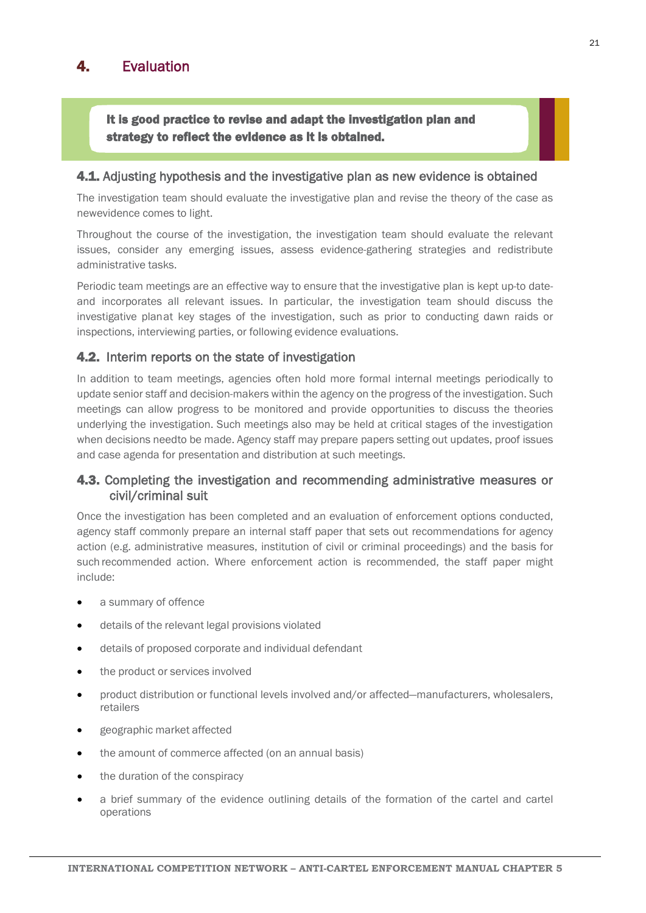## <span id="page-20-0"></span>4. Evaluation

It is good practice to revise and adapt the investigation plan and strategy to reflect the evidence as it is obtained.

#### <span id="page-20-1"></span>4.1. Adjusting hypothesis and the investigative plan as new evidence is obtained

The investigation team should evaluate the investigative plan and revise the theory of the case as newevidence comes to light.

Throughout the course of the investigation, the investigation team should evaluate the relevant issues, consider any emerging issues, assess evidence-gathering strategies and redistribute administrative tasks.

Periodic team meetings are an effective way to ensure that the investigative plan is kept up-to dateand incorporates all relevant issues. In particular, the investigation team should discuss the investigative planat key stages of the investigation, such as prior to conducting dawn raids or inspections, interviewing parties, or following evidence evaluations.

#### <span id="page-20-2"></span>**4.2.** Interim reports on the state of investigation

In addition to team meetings, agencies often hold more formal internal meetings periodically to update senior staff and decision-makers within the agency on the progress of the investigation. Such meetings can allow progress to be monitored and provide opportunities to discuss the theories underlying the investigation. Such meetings also may be held at critical stages of the investigation when decisions needto be made. Agency staff may prepare papers setting out updates, proof issues and case agenda for presentation and distribution at such meetings.

## <span id="page-20-3"></span>4.3. Completing the investigation and recommending administrative measures or civil/criminal suit

Once the investigation has been completed and an evaluation of enforcement options conducted, agency staff commonly prepare an internal staff paper that sets out recommendations for agency action (e.g. administrative measures, institution of civil or criminal proceedings) and the basis for such recommended action. Where enforcement action is recommended, the staff paper might include:

- a summary of offence
- details of the relevant legal provisions violated
- details of proposed corporate and individual defendant
- the product or services involved
- product distribution or functional levels involved and/or affected—manufacturers, wholesalers, retailers
- geographic market affected
- the amount of commerce affected (on an annual basis)
- the duration of the conspiracy
- a brief summary of the evidence outlining details of the formation of the cartel and cartel operations